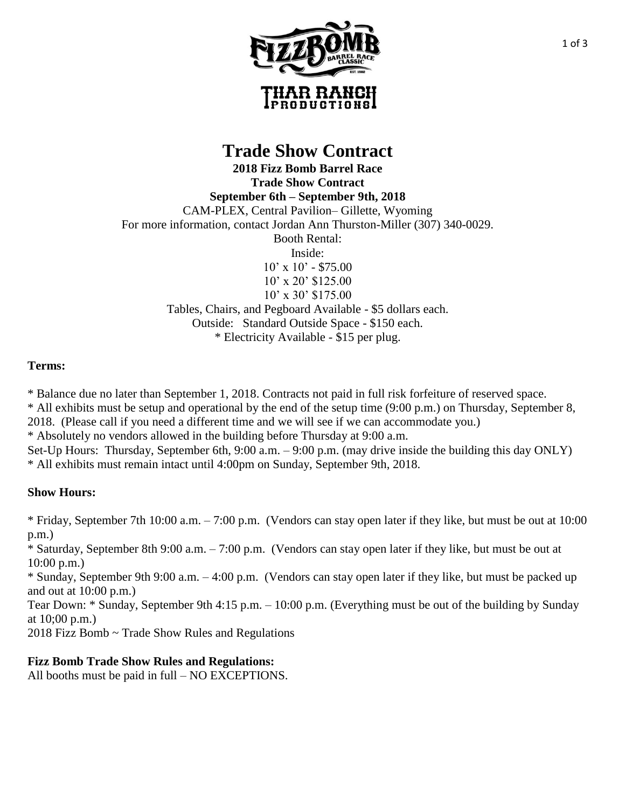

## **Trade Show Contract**

**2018 Fizz Bomb Barrel Race Trade Show Contract September 6th – September 9th, 2018** CAM-PLEX, Central Pavilion– Gillette, Wyoming For more information, contact Jordan Ann Thurston-Miller (307) 340-0029. Booth Rental: Inside:  $10' \times 10'$  - \$75.00 10' x 20' \$125.00 10' x 30' \$175.00 Tables, Chairs, and Pegboard Available - \$5 dollars each. Outside: Standard Outside Space - \$150 each. \* Electricity Available - \$15 per plug.

## **Terms:**

\* Balance due no later than September 1, 2018. Contracts not paid in full risk forfeiture of reserved space.

\* All exhibits must be setup and operational by the end of the setup time (9:00 p.m.) on Thursday, September 8,

2018. (Please call if you need a different time and we will see if we can accommodate you.)

\* Absolutely no vendors allowed in the building before Thursday at 9:00 a.m.

Set-Up Hours: Thursday, September 6th, 9:00 a.m. – 9:00 p.m. (may drive inside the building this day ONLY) \* All exhibits must remain intact until 4:00pm on Sunday, September 9th, 2018.

## **Show Hours:**

\* Friday, September 7th 10:00 a.m. – 7:00 p.m. (Vendors can stay open later if they like, but must be out at 10:00 p.m.)

\* Saturday, September 8th 9:00 a.m. – 7:00 p.m. (Vendors can stay open later if they like, but must be out at 10:00 p.m.)

\* Sunday, September 9th 9:00 a.m. – 4:00 p.m. (Vendors can stay open later if they like, but must be packed up and out at 10:00 p.m.)

Tear Down: \* Sunday, September 9th 4:15 p.m. – 10:00 p.m. (Everything must be out of the building by Sunday at 10;00 p.m.)

2018 Fizz Bomb ~ Trade Show Rules and Regulations

## **Fizz Bomb Trade Show Rules and Regulations:**

All booths must be paid in full – NO EXCEPTIONS.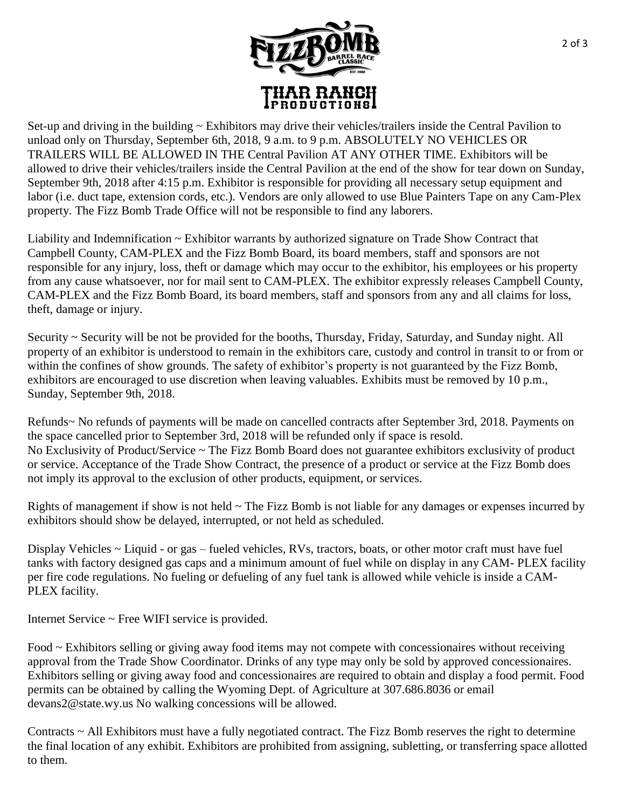

Set-up and driving in the building  $\sim$  Exhibitors may drive their vehicles/trailers inside the Central Pavilion to unload only on Thursday, September 6th, 2018, 9 a.m. to 9 p.m. ABSOLUTELY NO VEHICLES OR TRAILERS WILL BE ALLOWED IN THE Central Pavilion AT ANY OTHER TIME. Exhibitors will be allowed to drive their vehicles/trailers inside the Central Pavilion at the end of the show for tear down on Sunday, September 9th, 2018 after 4:15 p.m. Exhibitor is responsible for providing all necessary setup equipment and labor (i.e. duct tape, extension cords, etc.). Vendors are only allowed to use Blue Painters Tape on any Cam-Plex property. The Fizz Bomb Trade Office will not be responsible to find any laborers.

Liability and Indemnification ~ Exhibitor warrants by authorized signature on Trade Show Contract that Campbell County, CAM-PLEX and the Fizz Bomb Board, its board members, staff and sponsors are not responsible for any injury, loss, theft or damage which may occur to the exhibitor, his employees or his property from any cause whatsoever, nor for mail sent to CAM-PLEX. The exhibitor expressly releases Campbell County, CAM-PLEX and the Fizz Bomb Board, its board members, staff and sponsors from any and all claims for loss, theft, damage or injury.

Security ~ Security will be not be provided for the booths, Thursday, Friday, Saturday, and Sunday night. All property of an exhibitor is understood to remain in the exhibitors care, custody and control in transit to or from or within the confines of show grounds. The safety of exhibitor's property is not guaranteed by the Fizz Bomb, exhibitors are encouraged to use discretion when leaving valuables. Exhibits must be removed by 10 p.m., Sunday, September 9th, 2018.

Refunds~ No refunds of payments will be made on cancelled contracts after September 3rd, 2018. Payments on the space cancelled prior to September 3rd, 2018 will be refunded only if space is resold. No Exclusivity of Product/Service ~ The Fizz Bomb Board does not guarantee exhibitors exclusivity of product or service. Acceptance of the Trade Show Contract, the presence of a product or service at the Fizz Bomb does not imply its approval to the exclusion of other products, equipment, or services.

Rights of management if show is not held ~ The Fizz Bomb is not liable for any damages or expenses incurred by exhibitors should show be delayed, interrupted, or not held as scheduled.

Display Vehicles ~ Liquid - or gas – fueled vehicles, RVs, tractors, boats, or other motor craft must have fuel tanks with factory designed gas caps and a minimum amount of fuel while on display in any CAM- PLEX facility per fire code regulations. No fueling or defueling of any fuel tank is allowed while vehicle is inside a CAM-PLEX facility.

Internet Service ~ Free WIFI service is provided.

Food ~ Exhibitors selling or giving away food items may not compete with concessionaires without receiving approval from the Trade Show Coordinator. Drinks of any type may only be sold by approved concessionaires. Exhibitors selling or giving away food and concessionaires are required to obtain and display a food permit. Food permits can be obtained by calling the Wyoming Dept. of Agriculture at 307.686.8036 or email devans2@state.wy.us No walking concessions will be allowed.

Contracts ~ All Exhibitors must have a fully negotiated contract. The Fizz Bomb reserves the right to determine the final location of any exhibit. Exhibitors are prohibited from assigning, subletting, or transferring space allotted to them.